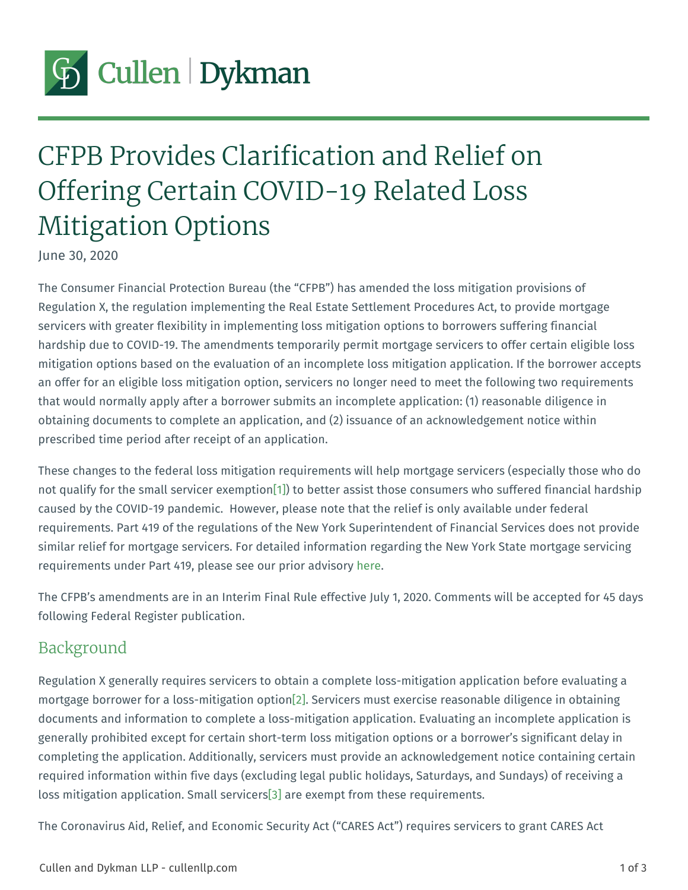# <span id="page-0-0"></span>CFPB Provides Clarification and Rel Offering Certain COVID-19 Related Mitigation Options

June 30, 2020

The Consumer Financial Protection Bureau (the CFPB) has amended the los Regulation X, the regulation implementing the Real Estate Settlement Proced servicers with greater flexibility in implementing loss mitigation options to b hardship due to COVID-19. The amendments temporarily permit mortgage servicers mitigation options based on the evaluation of an incomplete loss mitigation a an offer for an eligible loss mitigation option, servicers no longer need to  $m_{\text{f}}$ that would normally apply after a borrower submits an incomplete application obtaining documents to complete an application, and (2) issuance of an ackn prescribed time period after receipt of an application.

These changes to the federal loss mitigation requirements will help mortgage not qualify for the small se[rv](#page-2-0)ice bretheptassist those consumers who suffered caused by the COVID-19 pandemic. However, please note that the relief is o requirements. Part 419 of the regulations of the New York Superintendent of similar relief for mortgage servicers. For detailed information regarding the requirements under Part 419, please sheeer. @ur prior advisory

The CFPB s amendments are in an Interim Final Rule effective July 1, 2020. following Federal Register publication.

#### Background

Regulation X generally requires servicers to obtain a complete loss-mitigation mortgage borrower for a loss- $m2f$   $\beta$  ation  $\alpha$  personate exercise reasonable diligence in  $\alpha$ documents and information to complete a loss-mitigation application. Evaluat generally prohibited except for certain short-term loss mitigation options or completing the application. Additionally, servicers must provide an acknowle required information within five days (excluding legal public holidays, Saturd loss mitigation application. [S] and lesxeer mip te from these requirements.

The Coronavirus Aid, Relief, and Economic Security Act ( CARES Act ) requir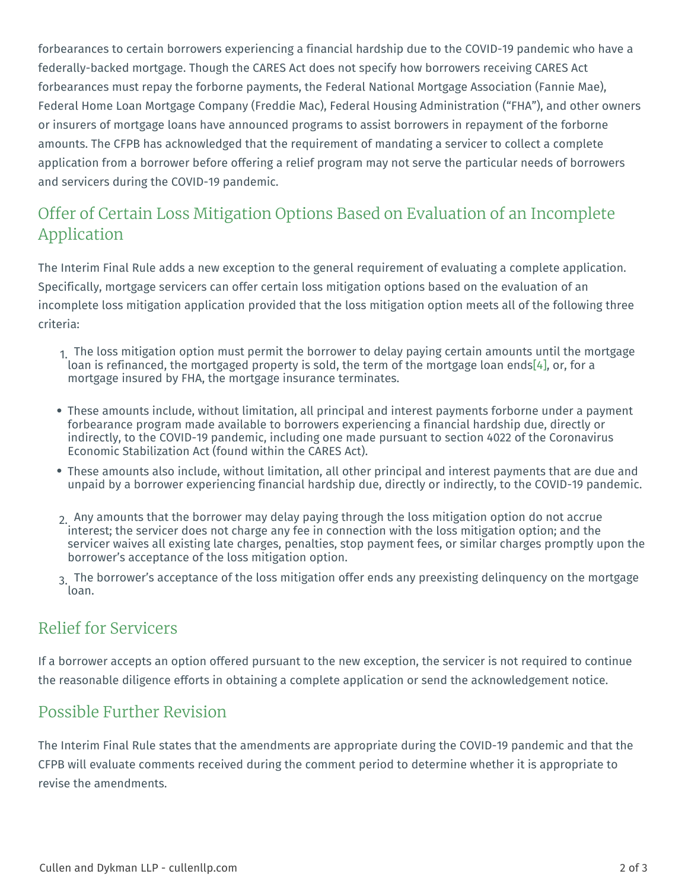<span id="page-1-0"></span>forbearances to certain borrowers experiencing a financial hardship due to the federally-backed mortgage. Though the CARES Act does not specify how borr forbearances must repay the forborne payments, the Federal National Mortga Federal Home Loan Mortgage Company (Freddie Mac), Federal Housing Admir or insurers of mortgage loans have announced programs to assist borrowers amounts. The CFPB has acknowledged that the requirement of mandating a service application from a borrower before offering a relief program may not serve the and servicers during the COVID-19 pandemic.

## Offer of Certain Loss Mitigation Options Based on Evaluatio Application

The Interim Final Rule adds a new exception to the general requirement of evaluation. Specifically, mortgage servicers can offer certain loss mitigation options based on the evaluation of an the evaluation of an the evaluation of an the evaluation of an evaluation of  $\Omega$ incomplete loss mitigation application provided that the loss mitigation option criteria:

- 1. The loss mitigation option must permit the borrower to delay paying cert loan is refinanced, the mortgaged property is sold, the  $[t\triangle]$  or, of othe mortga mortgage insured by FHA, the mortgage insurance terminates.
- These amounts include, without limitation, all principal and interest paym forbearance program made available to borrowers experiencing a financia indirectly, to the COVID-19 pandemic, including one made pursuant to seq Economic Stabilization Act (found within the CARES Act).
- These amounts also include, without limitation, all other principal and int unpaid by a borrower experiencing financial hardship due, directly or indi
- $_2$  Any amounts that the borrower may delay paying through the loss mitigat interest; the servicer does not charge any fee in connection with the loss servicer waives all existing late charges, penalties, stop payment fees, o borrower s acceptance of the loss mitigation option.
- 3. The borrower s acceptance of the loss mitigation offer ends any preexist loan.

#### Relief for Servicers

If a borrower accepts an option offered pursuant to the new exception, the service the reasonable diligence efforts in obtaining a complete application or send

#### Possible Further Revision

The Interim Final Rule states that the amendments are appropriate during the CFPB will evaluate comments received during the comment period to determine revise the amendments.